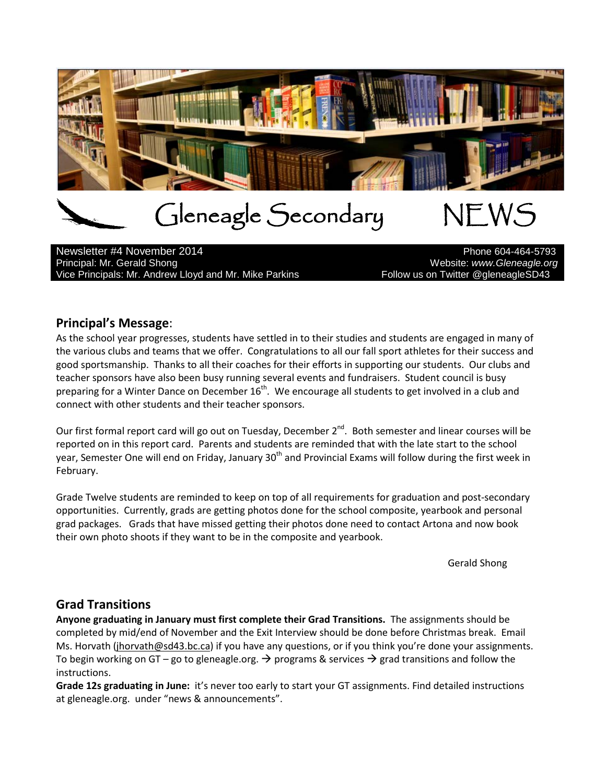

# Gleneagle Secondary NEWS<br>https://www.phone604-464-5793

Newsletter #4 November 2014 Principal: Mr. Gerald Shong Website: *www.Gleneagle.org* Vice Principals: Mr. Andrew Lloyd and Mr. Mike Parkins France Follow us on Twitter @gleneagleSD43

## **Principal's Message**:

As the school year progresses, students have settled in to their studies and students are engaged in many of the various clubs and teams that we offer. Congratulations to all our fall sport athletes for their success and good sportsmanship. Thanks to all their coaches for their efforts in supporting our students. Our clubs and teacher sponsors have also been busy running several events and fundraisers. Student council is busy preparing for a Winter Dance on December  $16^{th}$ . We encourage all students to get involved in a club and connect with other students and their teacher sponsors.

Our first formal report card will go out on Tuesday, December 2<sup>nd</sup>. Both semester and linear courses will be reported on in this report card. Parents and students are reminded that with the late start to the school year, Semester One will end on Friday, January 30<sup>th</sup> and Provincial Exams will follow during the first week in February.

Grade Twelve students are reminded to keep on top of all requirements for graduation and post-secondary opportunities. Currently, grads are getting photos done for the school composite, yearbook and personal grad packages. Grads that have missed getting their photos done need to contact Artona and now book their own photo shoots if they want to be in the composite and yearbook.

Gerald Shong

# **Grad Transitions**

**Anyone graduating in January must first complete their Grad Transitions.** The assignments should be completed by mid/end of November and the Exit Interview should be done before Christmas break. Email Ms. Horvath [\(jhorvath@sd43.bc.ca\)](mailto:jhorvath@sd43.bc.ca) if you have any questions, or if you think you're done your assignments. To begin working on GT – go to gleneagle.org.  $\rightarrow$  programs & services  $\rightarrow$  grad transitions and follow the instructions.

**Grade 12s graduating in June:** it's never too early to start your GT assignments. Find detailed instructions at gleneagle.org. under "news & announcements".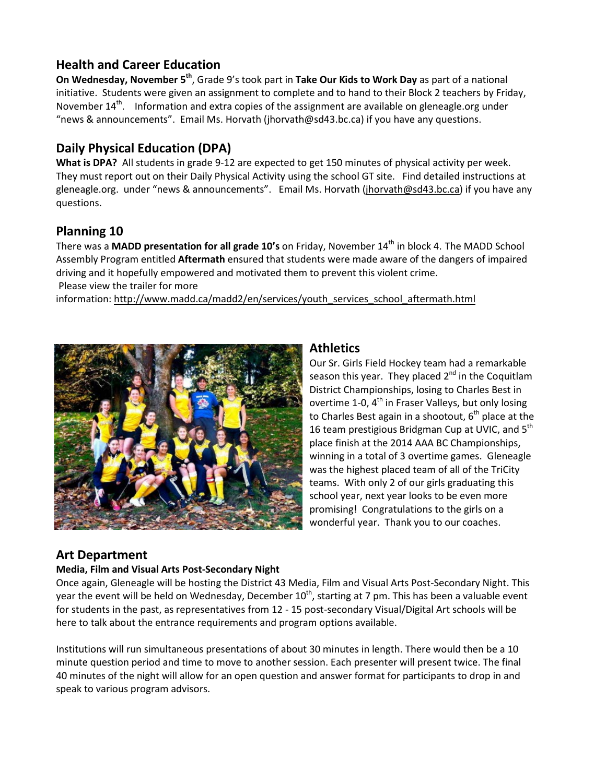# **Health and Career Education**

**On Wednesday, November 5th**, Grade 9's took part in **Take Our Kids to Work Day** as part of a national initiative. Students were given an assignment to complete and to hand to their Block 2 teachers by Friday, November  $14^{th}$ . Information and extra copies of the assignment are available on gleneagle.org under "news & announcements". Email Ms. Horvath (jhorvath@sd43.bc.ca) if you have any questions.

# **Daily Physical Education (DPA)**

**What is DPA?** All students in grade 9-12 are expected to get 150 minutes of physical activity per week. They must report out on their Daily Physical Activity using the school GT site. Find detailed instructions at gleneagle.org. under "news & announcements". Email Ms. Horvath [\(jhorvath@sd43.bc.ca\)](mailto:jhorvath@sd43.bc.ca) if you have any questions.

# **Planning 10**

There was a **MADD presentation for all grade 10's** on Friday, November 14<sup>th</sup> in block 4. The MADD School Assembly Program entitled **Aftermath** ensured that students were made aware of the dangers of impaired driving and it hopefully empowered and motivated them to prevent this violent crime. Please view the trailer for more

information: [http://www.madd.ca/madd2/en/services/youth\\_services\\_school\\_aftermath.html](http://www.madd.ca/madd2/en/services/youth_services_school_aftermath.html)



### **Athletics**

Our Sr. Girls Field Hockey team had a remarkable season this year. They placed  $2^{nd}$  in the Coquitlam District Championships, losing to Charles Best in overtime 1-0,  $4^{th}$  in Fraser Valleys, but only losing to Charles Best again in a shootout,  $6<sup>th</sup>$  place at the 16 team prestigious Bridgman Cup at UVIC, and 5<sup>th</sup> place finish at the 2014 AAA BC Championships, winning in a total of 3 overtime games. Gleneagle was the highest placed team of all of the TriCity teams. With only 2 of our girls graduating this school year, next year looks to be even more promising! Congratulations to the girls on a wonderful year. Thank you to our coaches.

# **Art Department**

#### **Media, Film and Visual Arts Post-Secondary Night**

Once again, Gleneagle will be hosting the District 43 Media, Film and Visual Arts Post-Secondary Night. This year the event will be held on Wednesday, December  $10^{th}$ , starting at 7 pm. This has been a valuable event for students in the past, as representatives from 12 - 15 post-secondary Visual/Digital Art schools will be here to talk about the entrance requirements and program options available.

Institutions will run simultaneous presentations of about 30 minutes in length. There would then be a 10 minute question period and time to move to another session. Each presenter will present twice. The final 40 minutes of the night will allow for an open question and answer format for participants to drop in and speak to various program advisors.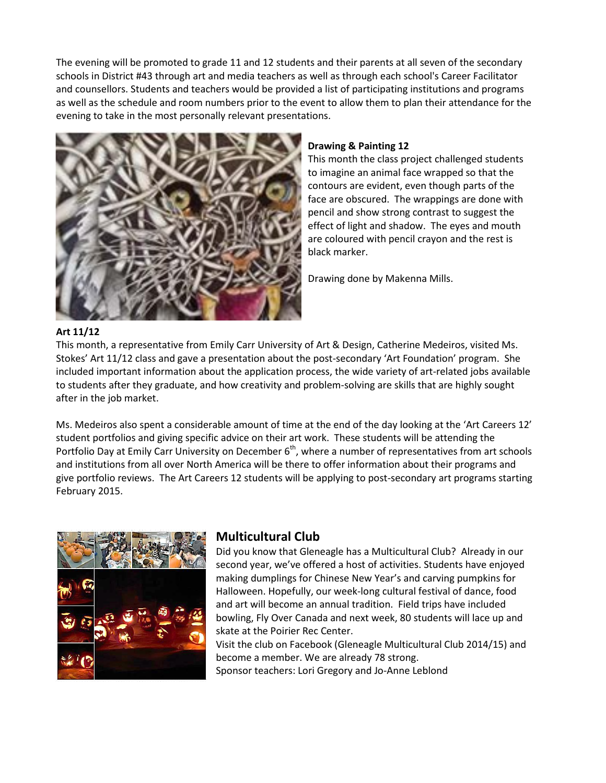The evening will be promoted to grade 11 and 12 students and their parents at all seven of the secondary schools in District #43 through art and media teachers as well as through each school's Career Facilitator and counsellors. Students and teachers would be provided a list of participating institutions and programs as well as the schedule and room numbers prior to the event to allow them to plan their attendance for the evening to take in the most personally relevant presentations.



#### **Drawing & Painting 12**

This month the class project challenged students to imagine an animal face wrapped so that the contours are evident, even though parts of the face are obscured. The wrappings are done with pencil and show strong contrast to suggest the effect of light and shadow. The eyes and mouth are coloured with pencil crayon and the rest is black marker.

Drawing done by Makenna Mills.

#### **Art 11/12**

This month, a representative from Emily Carr University of Art & Design, Catherine Medeiros, visited Ms. Stokes' Art 11/12 class and gave a presentation about the post-secondary 'Art Foundation' program. She included important information about the application process, the wide variety of art-related jobs available to students after they graduate, and how creativity and problem-solving are skills that are highly sought after in the job market.

Ms. Medeiros also spent a considerable amount of time at the end of the day looking at the 'Art Careers 12' student portfolios and giving specific advice on their art work. These students will be attending the Portfolio Day at Emily Carr University on December  $6<sup>th</sup>$ , where a number of representatives from art schools and institutions from all over North America will be there to offer information about their programs and give portfolio reviews. The Art Careers 12 students will be applying to post-secondary art programs starting February 2015.



#### **Multicultural Club**

Did you know that Gleneagle has a Multicultural Club? Already in our second year, we've offered a host of activities. Students have enjoyed making dumplings for Chinese New Year's and carving pumpkins for Halloween. Hopefully, our week-long cultural festival of dance, food and art will become an annual tradition. Field trips have included bowling, Fly Over Canada and next week, 80 students will lace up and skate at the Poirier Rec Center.

Visit the club on Facebook (Gleneagle Multicultural Club 2014/15) and become a member. We are already 78 strong. Sponsor teachers: Lori Gregory and Jo-Anne Leblond